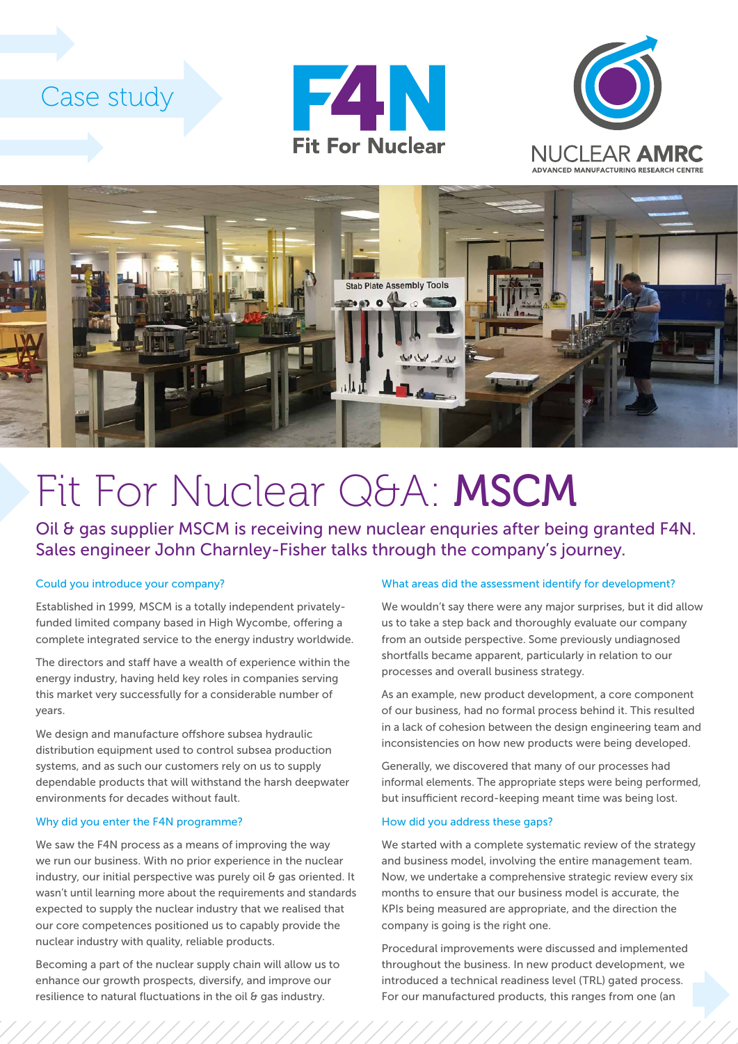# Case study







# Fit For Nuclear Q&A: MSCM

Oil & gas supplier MSCM is receiving new nuclear enquries after being granted F4N. Sales engineer John Charnley-Fisher talks through the company's journey.

### Could you introduce your company?

Established in 1999, MSCM is a totally independent privatelyfunded limited company based in High Wycombe, offering a complete integrated service to the energy industry worldwide.

The directors and staff have a wealth of experience within the energy industry, having held key roles in companies serving this market very successfully for a considerable number of years.

We design and manufacture offshore subsea hydraulic distribution equipment used to control subsea production systems, and as such our customers rely on us to supply dependable products that will withstand the harsh deepwater environments for decades without fault.

#### Why did you enter the F4N programme?

We saw the F4N process as a means of improving the way we run our business. With no prior experience in the nuclear industry, our initial perspective was purely oil & gas oriented. It wasn't until learning more about the requirements and standards expected to supply the nuclear industry that we realised that our core competences positioned us to capably provide the nuclear industry with quality, reliable products.

Becoming a part of the nuclear supply chain will allow us to enhance our growth prospects, diversify, and improve our resilience to natural fluctuations in the oil & gas industry.

#### What areas did the assessment identify for development?

We wouldn't say there were any major surprises, but it did allow us to take a step back and thoroughly evaluate our company from an outside perspective. Some previously undiagnosed shortfalls became apparent, particularly in relation to our processes and overall business strategy.

As an example, new product development, a core component of our business, had no formal process behind it. This resulted in a lack of cohesion between the design engineering team and inconsistencies on how new products were being developed.

Generally, we discovered that many of our processes had informal elements. The appropriate steps were being performed, but insufficient record-keeping meant time was being lost.

# How did you address these gaps?

We started with a complete systematic review of the strategy and business model, involving the entire management team. Now, we undertake a comprehensive strategic review every six months to ensure that our business model is accurate, the KPIs being measured are appropriate, and the direction the company is going is the right one.

Procedural improvements were discussed and implemented throughout the business. In new product development, we introduced a technical readiness level (TRL) gated process. For our manufactured products, this ranges from one (an